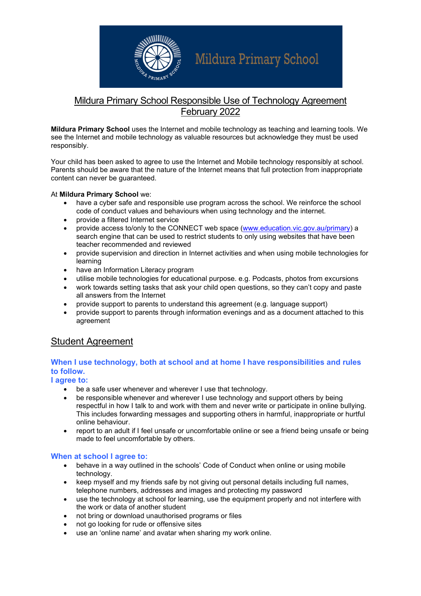

# Mildura Primary School

## Mildura Primary School Responsible Use of Technology Agreement February 2022

Mildura Primary School uses the Internet and mobile technology as teaching and learning tools. We see the Internet and mobile technology as valuable resources but acknowledge they must be used responsibly.

Your child has been asked to agree to use the Internet and Mobile technology responsibly at school. Parents should be aware that the nature of the Internet means that full protection from inappropriate content can never be guaranteed.

#### At Mildura Primary School we:

- have a cyber safe and responsible use program across the school. We reinforce the school code of conduct values and behaviours when using technology and the internet.
- provide a filtered Internet service
- provide access to/only to the CONNECT web space (www.education.vic.gov.au/primary) a search engine that can be used to restrict students to only using websites that have been teacher recommended and reviewed
- provide supervision and direction in Internet activities and when using mobile technologies for learning
- have an Information Literacy program
- utilise mobile technologies for educational purpose. e.g. Podcasts, photos from excursions
- work towards setting tasks that ask your child open questions, so they can't copy and paste all answers from the Internet
- provide support to parents to understand this agreement (e.g. language support)
- provide support to parents through information evenings and as a document attached to this agreement

## Student Agreement

### When I use technology, both at school and at home I have responsibilities and rules to follow.

I agree to:

- be a safe user whenever and wherever I use that technology.
- be responsible whenever and wherever I use technology and support others by being respectful in how I talk to and work with them and never write or participate in online bullying. This includes forwarding messages and supporting others in harmful, inappropriate or hurtful online behaviour.
- report to an adult if I feel unsafe or uncomfortable online or see a friend being unsafe or being made to feel uncomfortable by others.

#### When at school I agree to:

- behave in a way outlined in the schools' Code of Conduct when online or using mobile technology.
- keep myself and my friends safe by not giving out personal details including full names, telephone numbers, addresses and images and protecting my password
- use the technology at school for learning, use the equipment properly and not interfere with the work or data of another student
- not bring or download unauthorised programs or files
- not go looking for rude or offensive sites
- use an 'online name' and avatar when sharing my work online.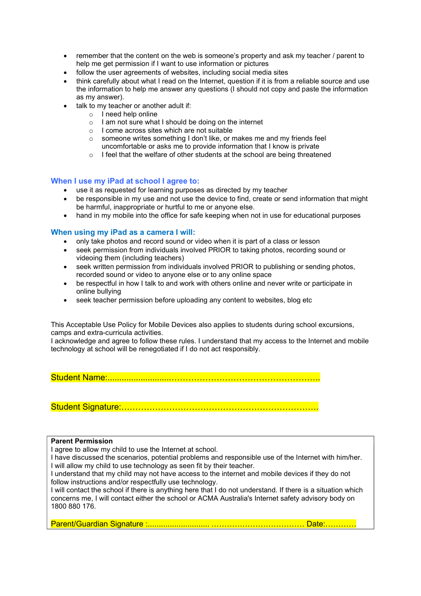- remember that the content on the web is someone's property and ask my teacher / parent to help me get permission if I want to use information or pictures
- follow the user agreements of websites, including social media sites
- think carefully about what I read on the Internet, question if it is from a reliable source and use the information to help me answer any questions (I should not copy and paste the information as my answer).
- talk to my teacher or another adult if:
	- $\circ$  I need help online
	- o I am not sure what I should be doing on the internet
	- o I come across sites which are not suitable
	- o someone writes something I don't like, or makes me and my friends feel uncomfortable or asks me to provide information that I know is private
	- $\circ$  I feel that the welfare of other students at the school are being threatened

#### When I use my iPad at school I agree to:

- use it as requested for learning purposes as directed by my teacher
- be responsible in my use and not use the device to find, create or send information that might be harmful, inappropriate or hurtful to me or anyone else.
- hand in my mobile into the office for safe keeping when not in use for educational purposes

#### When using my iPad as a camera I will:

- only take photos and record sound or video when it is part of a class or lesson
- seek permission from individuals involved PRIOR to taking photos, recording sound or videoing them (including teachers)
- seek written permission from individuals involved PRIOR to publishing or sending photos, recorded sound or video to anyone else or to any online space
- be respectful in how I talk to and work with others online and never write or participate in online bullying
- seek teacher permission before uploading any content to websites, blog etc

This Acceptable Use Policy for Mobile Devices also applies to students during school excursions, camps and extra-curricula activities.

I acknowledge and agree to follow these rules. I understand that my access to the Internet and mobile technology at school will be renegotiated if I do not act responsibly.

Student Name:...........................……………………………………………..

Student Signature:…………………………………………………………….

#### Parent Permission

I agree to allow my child to use the Internet at school.

I have discussed the scenarios, potential problems and responsible use of the Internet with him/her. I will allow my child to use technology as seen fit by their teacher.

I understand that my child may not have access to the internet and mobile devices if they do not follow instructions and/or respectfully use technology.

I will contact the school if there is anything here that I do not understand. If there is a situation which concerns me, I will contact either the school or ACMA Australia's Internet safety advisory body on 1800 880 176.

Parent/Guardian Signature : ............................ ……………………………… Date:…………